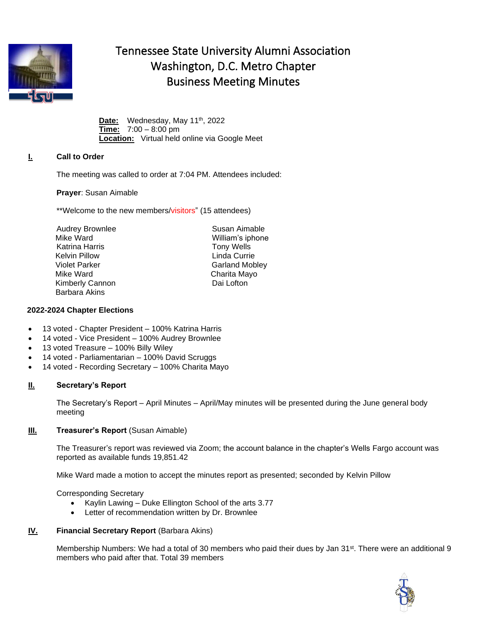

# Tennessee State University Alumni Association Washington, D.C. Metro Chapter Business Meeting Minutes

Date: Wednesday, May 11<sup>th</sup>, 2022 **Time:** 7:00 – 8:00 pm **Location:** Virtual held online via Google Meet

## **I. Call to Order**

The meeting was called to order at 7:04 PM. Attendees included:

**Prayer**: Susan Aimable

\*\*Welcome to the new members/visitors" (15 attendees)

Audrey Brownlee Mike Ward Katrina Harris Kelvin Pillow **Linda Currie** Violet Parker Garland Mobley Mike Ward Charita Mayo Kimberly Cannon Dai Lofton Barbara Akins

William's iphone Tony Wells

Susan Aimable

#### **2022-2024 Chapter Elections**

- 13 voted Chapter President 100% Katrina Harris
- 14 voted Vice President 100% Audrey Brownlee
- 13 voted Treasure 100% Billy Wiley
- 14 voted Parliamentarian 100% David Scruggs
- 14 voted Recording Secretary 100% Charita Mayo

## **II. Secretary's Report**

The Secretary's Report – April Minutes – April/May minutes will be presented during the June general body meeting

## **III. Treasurer's Report** (Susan Aimable)

The Treasurer's report was reviewed via Zoom; the account balance in the chapter's Wells Fargo account was reported as available funds 19,851.42

Mike Ward made a motion to accept the minutes report as presented; seconded by Kelvin Pillow

Corresponding Secretary

- Kaylin Lawing Duke Ellington School of the arts 3.77
- Letter of recommendation written by Dr. Brownlee

## **IV. Financial Secretary Report** (Barbara Akins)

Membership Numbers: We had a total of 30 members who paid their dues by Jan 31<sup>st</sup>. There were an additional 9 members who paid after that. Total 39 members

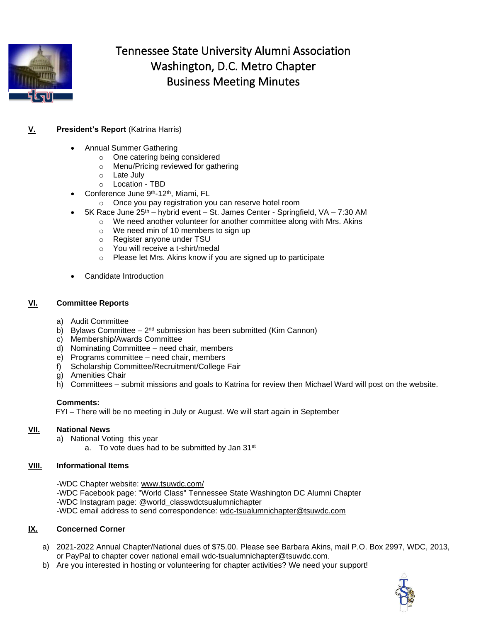

# Tennessee State University Alumni Association Washington, D.C. Metro Chapter Business Meeting Minutes

# **V. President's Report** (Katrina Harris)

- Annual Summer Gathering
	- o One catering being considered
	- o Menu/Pricing reviewed for gathering
	- o Late July
	- o Location TBD
- Conference June 9<sup>th</sup>-12<sup>th</sup>, Miami, FL
	- o Once you pay registration you can reserve hotel room
- $5K$  Race June  $25<sup>th</sup>$  hybrid event St. James Center Springfield, VA 7:30 AM
	- $\circ$  We need another volunteer for another committee along with Mrs. Akins
		- o We need min of 10 members to sign up
		- o Register anyone under TSU
		- o You will receive a t-shirt/medal
		- o Please let Mrs. Akins know if you are signed up to participate
- Candidate Introduction

#### **VI. Committee Reports**

- a) Audit Committee
- b) Bylaws Committee  $-2^{nd}$  submission has been submitted (Kim Cannon)
- c) Membership/Awards Committee
- d) Nominating Committee need chair, members
- e) Programs committee need chair, members
- f) Scholarship Committee/Recruitment/College Fair
- g) Amenities Chair
- h) Committees submit missions and goals to Katrina for review then Michael Ward will post on the website.

#### **Comments:**

FYI – There will be no meeting in July or August. We will start again in September

## **VII. National News**

- a) National Voting this year
	- a. To vote dues had to be submitted by Jan 31<sup>st</sup>

## **VIII. Informational Items**

-WDC Chapter website: [www.tsuwdc.com/](about:blank) -WDC Facebook page: "World Class" Tennessee State Washington DC Alumni Chapter -WDC Instagram page: @world\_classwdctsualumnichapter -WDC email address to send correspondence: [wdc-tsualumnichapter@tsuwdc.com](about:blank)

## **IX. Concerned Corner**

- a) 2021-2022 Annual Chapter/National dues of \$75.00. Please see Barbara Akins, mail P.O. Box 2997, WDC, 2013, or PayPal to chapter cover national email wdc-tsualumnichapter@tsuwdc.com.
- b) Are you interested in hosting or volunteering for chapter activities? We need your support!